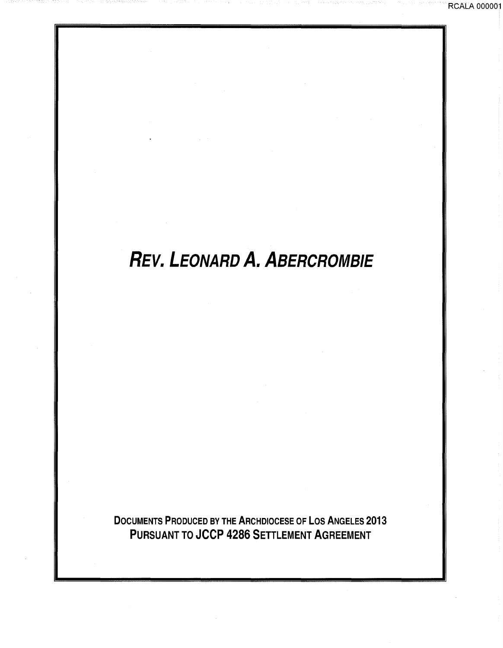# **REV. LEONARD A. ABERCROMBIE**

RCALA 000001

DOCUMENTS PRODUCED BY THE ARCHDIOCESE OF LOS ANGELES 2013 PURSUANT TO JCCP 4286 SETTLEMENT AGREEMENT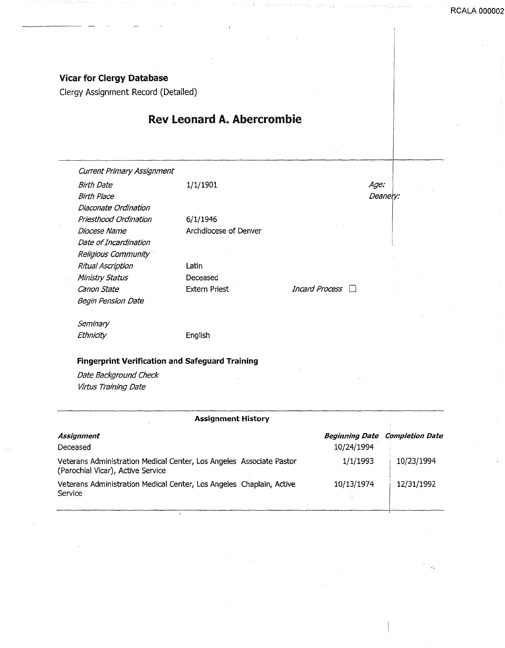#### Vicar for Clergy Database

Clergy Assignment Record (Detailed)

### Rev Leonard A. Abercrombie

| <b>Current Primary Assignment</b> |                       |                       |             |
|-----------------------------------|-----------------------|-----------------------|-------------|
| Birth Date                        | 1/1/1901              |                       | <i>Age:</i> |
| Birth Place                       |                       |                       | Deanery:    |
| Diaconate Ordination              |                       |                       |             |
| Priesthood Ordination             | 6/1/1946              |                       |             |
| Diocese Name                      | Archdiocese of Denver |                       |             |
| Date of Incardination             |                       |                       |             |
| Religious Community               |                       |                       |             |
| <b>Ritual Ascription</b>          | Latin                 |                       |             |
| Ministry Status                   | Deceased              |                       |             |
| Canon State                       | <b>Extern Priest</b>  | <i>Incard Process</i> |             |
| Begin Pension Date                |                       |                       |             |
| Seminary                          |                       |                       |             |
| Ethnicity                         | English               |                       |             |

### Fingerprint Verification and Safeguard Training

Date Background Check Virtus Training Date

| <b>Assignment History</b>                                                                                 |                                     |                        |
|-----------------------------------------------------------------------------------------------------------|-------------------------------------|------------------------|
| Assignment<br>Deceased                                                                                    | <b>Beginning Date</b><br>10/24/1994 | <b>Completion Date</b> |
| Veterans Administration Medical Center, Los Angeles Associate Pastor<br>(Parochial Vicar), Active Service | 1/1/1993                            | 10/23/1994             |
| Veterans Administration Medical Center, Los Angeles Chaplain, Active<br>Service                           | 10/13/1974                          | 12/31/1992             |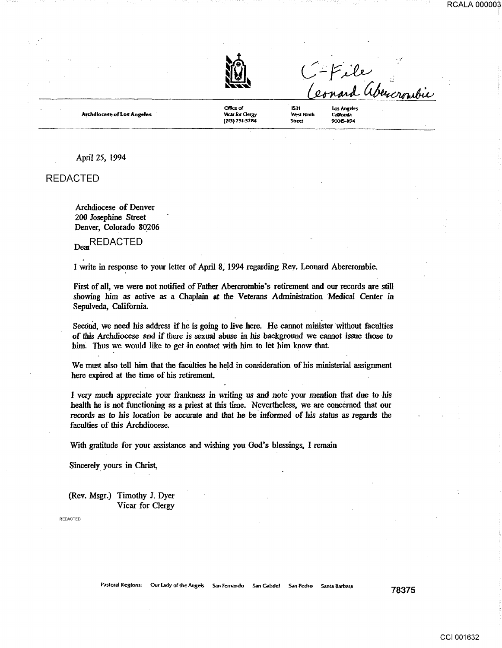



Archdlocese of Los Angeles

Oftk;" *o(*  **Vicar for Clergy** (213) 251-3284

Los Angeles West Ninth Catifornia 90015-1194

1531

Street

April 25, 1994

REDACTED

Archdiocese of Denver 200 Josephine Street Denver, Colorado 80206

Dear<br>REDACTED

I write in response to your letter of April 8, 1994 regarding Rev. Leonard Abercrombie.

First of all, we were not notified of Father Abercrombie's retirement and our records are still showing him as active as a Chaplain at the Veterans Administration Medical Center in Sepulveda, California.

Second, we need his address if he is going to live here. He cannot minister without faculties of this Archdiocese and if there is sexual abuse in his background we cannot issue those to him. Thus we would like to get in contact with him to let him know that

We must also tell him that the faculties he held in consideration of his ministerial assignment here expired at the time of his retirement.

I very much appreciate your frankness in writing us and note your mention that due to his health he is not functioning *as* a priest at this time. Nevertheless, we are concerned that our records as to his location be accurate and that he be informed of his status as regards the faculties of this Archdiocese.

With gratitude for your assistance and wishing you God's blessings, I remain

Sincerely\_ yours in Christ,

(Rev. Msgr.) Timothy J. Dyer Vicar for Clergy

REDACTED

Pastoral Regions: Our Lady of the Angels San Fernando San Gabriel San Pedro Santa Barbara 78375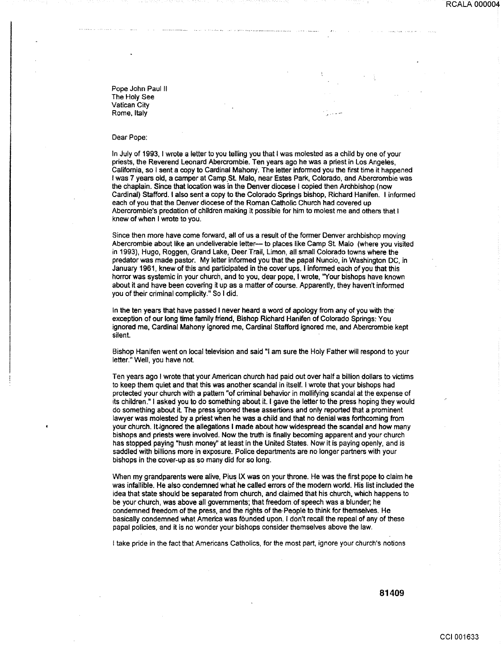RCALA 000004

Pope John Paul II The Holy See Vatican City Rome, Italy

#### Dear Pope:

In July of 1993, I wrote a letter to you telling you that I was molested as a child by one of your priests, the Reverend Leonard Abercrombie. Ten years ago he was a priest in Los Angeles, California, so I sent a copy to Cardinal Mahony. The letter informed you the first time it happened I was 7 years old, a camper at Camp St. Malo, near Estes Park, Colorado, and Abercrombie was the chaplain. Since that location was in the Denver diocese I copied then Archbishop (now Cardinal) Stafford. I also sent a copy to the Colorado Springs bishop, Richard Hanifen. I informed each of you that the Denver diocese of the Roman Catholic Church had covered up Abercrombie's predation of children making it possible for him to molest me and others that 1 knew of when I wrote to you.

Since then more have come forward, all of us a result of the former Denver archbishop moving Abercrombie about like an undeliverable letter-- to places like Camp St. Malo (where you visited in 1993), Hugo, Roggen, Grand Lake, Deer Trail, Limon, all small Colorado towns where the predator was made pastor. My letter informed you that the papal Nuncio, in Washington DC, in January 1961, knew of this and participated in the cover· ups. I informed each of you that this horror was systemic in your church, and to you, dear pope, I wrote, "Your bishops have known about it and have been covering it up as a matter of course. Apparently, they haven't informed you of their criminal complicity." So I did.

In the ten years that have passed I never heard a word of apology from any of you with the exception of our long time family friend, Bishop Richard Hanifen of Colorado Springs: You ignored me, Cardinal Mahony ignored me, Cardinal Stafford ignored me, and Abercrombie kept silent.

Bishop Hanifen went on local television and said "I am sure the Holy Father will respond to your letter." Well, you have not

Ten years ago I wrote that your American church had paid out over half a billion dollars to victims to keep them quiet and that this was another scandal in itself. I wrote that your bishops had protected your church with a pattern "of criminal behavior in mollifying scandal at the expense of its children." I asked you to do something about it. I gave the letter to the press hoping they would do something about it The press ignored these assertiens and only reported that a prominent lawyer was molested by a priest when he was a child and that no denial was forthcoming from your church. It ignored the allegations I made about how widespread the scandal and how many bishops and priests were involved. Now the truth is finally becoming apparent and your church has stopped paying "hush money'' at least in the United States. Now it is paying openly, and is saddled with billions more in exposure. Police departments are no longer partners with your bishops in the cover-up as so many did for so long.

When my grandparents were alive, Pius IX was on your throne. He was the first pope to claim he was infallible. He also condemned what' he called errors of the modern world. His list included the idea that state should be separated from church, and claimed that his church, which happens to be your church, was above all governments; that freedom of speech was a blunder; he condemned freedom of the press, and the rights of the-People to think for themselves. He basically condemned what America was founded upon. I don't recall the repeal of any of these papal policies, and it is no wonder your bishops consider themselves above the law.

I take pride in the fact that Americans Catholics, for the most part, ignore your church's notions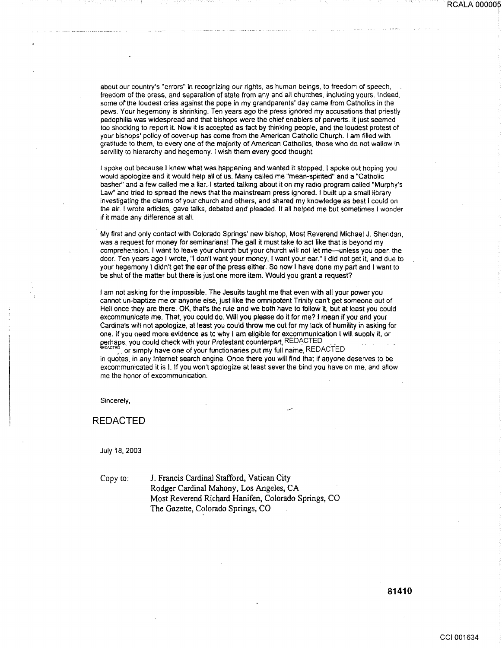about our country's "errors" in recognizing our rights, as human beings, to freedom of speech, freedom of the press, and separation of state from any and all churches, including yours. Indeed, some of the loudest cries against the pope in my grandparents' day came from Catholics in the pews. Your hegemony is shrinking. Ten years ago the press ignored my accusations that priestly pedophilia was widespread and that bishops were the chief enablers of perverts. It just seemed too shocking to report it. Now it is accepted as fact by thinking people, and the loudest protest of your bishops' policy of cover-up has come from the American Catholic Churph. I am filled with gratitude to them, to every one of the majority of American Catholics, those who do not wallow in servility to hierarchy and hegemony. I wish them every good thought.

1 spoke out because I knew what was happening and wanted it stopped. I spoke out hoping you would apologize and it would help all of us. Many called me "mean-spirited" and a "Catholic basher" and a few called me a liar.-1 started talking about it on my radio program called "Murphy's Law" and tried to spread the news that the mainstream press ignored. I built up a small library investigating the claims of your church and others, and shared my knowledge as best I could on the air. I wrote articles, gave talks, debated and pleaded. It all helped me but sometimes I wonder if it made any difference at all.

My first and only contact with Colorado Springs' new bishop, Most Reverend Michael J. Sheridan. was a request for money for seminarians! The gall it must take to act like that is beyond my comprehension. I want to leave your church but your church will not let me-unless you open the door. Ten years ago I wrote, "I don't want your money, I want your ear." I did not get it, and due to your hegemony I didn't get the ear of the press either. So now I have done my part and I want to be shut of the matter but there is just one more item. Would you grant a request?

I am not asking for the impossible. The Jesuits taught me that even with all your power you cannot un-baptize me or anyone else, just like the omnipotent Trinity can't get someone out of Hell once they are there. OK. that's the rule and we both have to follow it, but at least you could excommunicate me. That, you could do. Will you please do it for me? I mean if you and your Cardinals will not apologize, at least you could throw me out for my lack of humility in asking for one. If you need more evidence as to why I am eligible for excommunication I will suoolv it. or perhaps, you could check with your Protestant counterpart, REDACTED

 $\,$  or simply have one of your functionaries put my full name,  $\,$ REDACTED in quotes, in any Internet search engine. Once there you will find that if anyone deserves to be excommunicated it is I. If you won't apologize at least sever the bind you have on me, and allow me the honor of excommunication.

Sincerely,

REDACTED

July 18, 2003

Copy to: J. Francis Cardinal Stafford, Vatican City Rodger Cardinal Mahony, Los Angeles, CA Most Reverend Richard Hanifen, Colorado Springs, CO The Gazette, Colorado Springs, CO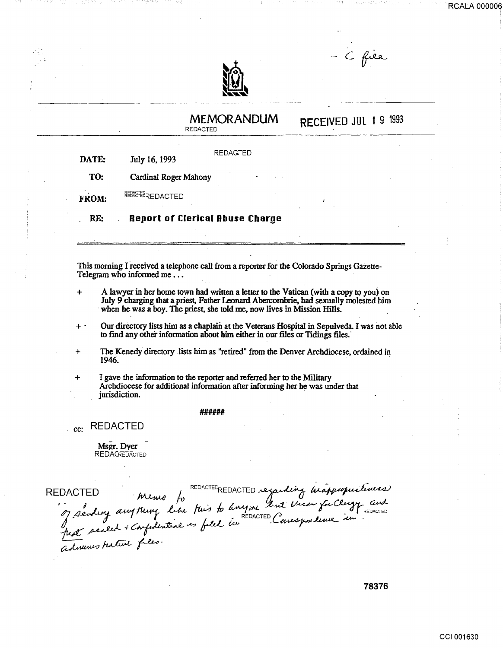C file



## RECEIVED JUL 1 9 <sup>1993</sup> MEMORANDUM REDACTED **REDAGTED** DATE: July 16, 1993 TO: Cardinal Roger Mahony REDACTED<br>REDACTED<br>QUEDACTED FROM: RE: Report of Clerical Abuse Charge This morning I received a telephone call from a reporter for the Colorado Springs Gazette-Telegram who informed me... + A lawyer in her home town had written a letter to the Vatican (with a copy to you) on July 9 charging that a priest, Father Leonard, Abercombrie, had sexually molested him when he was a boy. The priest, she told me, now lives in Mission Hills. + Our directory lists him as a chaplain at the Veterans Hospital in Sepulveda. I was not able to find any other information about him either in our files or Tidings files. + The Kenedy directory lists him as "retired" from the Denver Archdiocese, ordained in 1946. . ' + I gave the information to the reporter and referred her to the Military Archdiocese for additional information after informing her he was under that jurisdiction. ###### <sub>cc:</sub> REDACTED MSPT. Dycr<br>REDACREDACTED<br>DACTED Memo to<br>of sending any thing like this to hnyme but these fuclogy and<br>only any thing like to held in REDACTED Consequenter in *Ms2c.* Dyer **REDACREDACTED**

REDACTED DACTED<br>, , , , , , , m<br> , , , , any m z<sub>ndene</sub> awi . memo fo<br>Ming like fu  $\dot{f}$ REDACTECREDACTED fuis to any me regarding in ~...:t-*a*  int Vicar for of several warping of the seat in hat sealed confirm